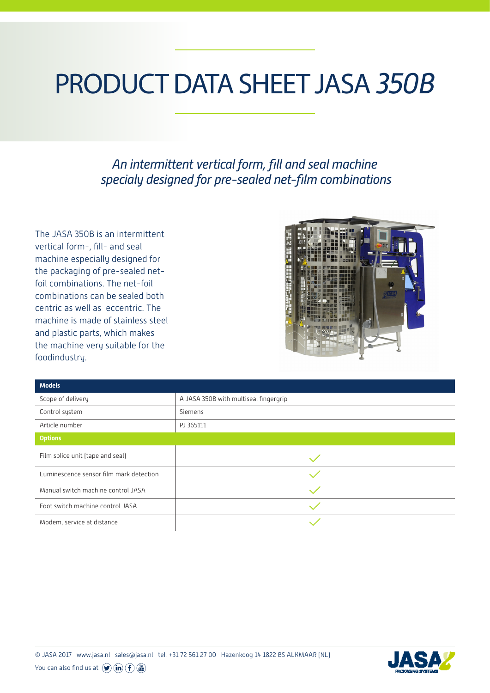## PRODUCT DATA SHEET JASA *350B*

*An intermittent vertical form, fill and seal machine specialy designed for pre-sealed net-film combinations* 

The JASA 350B is an intermittent vertical form-, fill- and seal machine especially designed for the packaging of pre-sealed netfoil combinations. The net-foil combinations can be sealed both centric as well as eccentric. The machine is made of stainless steel and plastic parts, which makes the machine very suitable for the foodindustry.



| <b>Models</b>                           |                                       |
|-----------------------------------------|---------------------------------------|
| Scope of delivery                       | A JASA 350B with multiseal fingergrip |
| Control system                          | Siemens                               |
| Article number                          | PJ 365111                             |
| <b>Options</b>                          |                                       |
| Film splice unit (tape and seal)        |                                       |
| Luminescence sensor film mark detection |                                       |
| Manual switch machine control JASA      |                                       |
| Foot switch machine control JASA        |                                       |
| Modem, service at distance              |                                       |